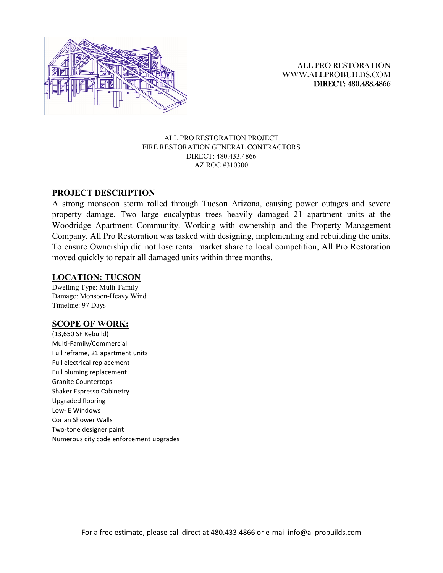

 ALL PRO RESTORATION WWW.ALLPROBUILDS.COM DIRECT: 480.433.4866

## ALL PRO RESTORATION PROJECT FIRE RESTORATION GENERAL CONTRACTORS DIRECT: 480.433.4866 AZ ROC #310300

## **PROJECT DESCRIPTION**

A strong monsoon storm rolled through Tucson Arizona, causing power outages and severe property damage. Two large eucalyptus trees heavily damaged 21 apartment units at the Woodridge Apartment Community. Working with ownership and the Property Management Company, All Pro Restoration was tasked with designing, implementing and rebuilding the units. To ensure Ownership did not lose rental market share to local competition, All Pro Restoration moved quickly to repair all damaged units within three months.

## **LOCATION: TUCSON**

Dwelling Type: Multi-Family Damage: Monsoon-Heavy Wind Timeline: 97 Days

## **SCOPE OF WORK:**

(13,650 SF Rebuild) Multi-Family/Commercial Full reframe, 21 apartment units Full electrical replacement Full pluming replacement Granite Countertops Shaker Espresso Cabinetry Upgraded flooring Low- E Windows Corian Shower Walls Two-tone designer paint Numerous city code enforcement upgrades